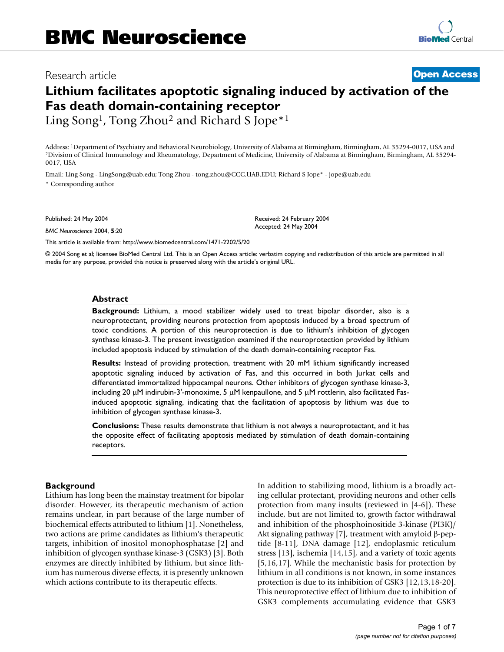## Research article **[Open Access](http://www.biomedcentral.com/info/about/charter/)**

# **Lithium facilitates apoptotic signaling induced by activation of the Fas death domain-containing receptor**

Ling Song<sup>1</sup>, Tong Zhou<sup>2</sup> and Richard S Jope<sup>\*1</sup>

Address: <sup>1</sup>Department of Psychiatry and Behavioral Neurobiology, University of Alabama at Birmingham, Birmingham, AL 35294-0017, USA and<br><sup>2</sup>Division of Clinical Immunology and Rheumatology, Department of Medicine, Univers 0017, USA

> Received: 24 February 2004 Accepted: 24 May 2004

Email: Ling Song - LingSong@uab.edu; Tong Zhou - tong.zhou@CCC.UAB.EDU; Richard S Jope\* - jope@uab.edu \* Corresponding author

Published: 24 May 2004

*BMC Neuroscience* 2004, **5**:20

[This article is available from: http://www.biomedcentral.com/1471-2202/5/20](http://www.biomedcentral.com/1471-2202/5/20)

© 2004 Song et al; licensee BioMed Central Ltd. This is an Open Access article: verbatim copying and redistribution of this article are permitted in all media for any purpose, provided this notice is preserved along with the article's original URL.

## **Abstract**

**Background:** Lithium, a mood stabilizer widely used to treat bipolar disorder, also is a neuroprotectant, providing neurons protection from apoptosis induced by a broad spectrum of toxic conditions. A portion of this neuroprotection is due to lithium's inhibition of glycogen synthase kinase-3. The present investigation examined if the neuroprotection provided by lithium included apoptosis induced by stimulation of the death domain-containing receptor Fas.

**Results:** Instead of providing protection, treatment with 20 mM lithium significantly increased apoptotic signaling induced by activation of Fas, and this occurred in both Jurkat cells and differentiated immortalized hippocampal neurons. Other inhibitors of glycogen synthase kinase-3, including 20  $\mu$ M indirubin-3'-monoxime, 5  $\mu$ M kenpaullone, and 5  $\mu$ M rottlerin, also facilitated Fasinduced apoptotic signaling, indicating that the facilitation of apoptosis by lithium was due to inhibition of glycogen synthase kinase-3.

**Conclusions:** These results demonstrate that lithium is not always a neuroprotectant, and it has the opposite effect of facilitating apoptosis mediated by stimulation of death domain-containing receptors.

## **Background**

Lithium has long been the mainstay treatment for bipolar disorder. However, its therapeutic mechanism of action remains unclear, in part because of the large number of biochemical effects attributed to lithium [1]. Nonetheless, two actions are prime candidates as lithium's therapeutic targets, inhibition of inositol monophosphatase [2] and inhibition of glycogen synthase kinase-3 (GSK3) [3]. Both enzymes are directly inhibited by lithium, but since lithium has numerous diverse effects, it is presently unknown which actions contribute to its therapeutic effects.

In addition to stabilizing mood, lithium is a broadly acting cellular protectant, providing neurons and other cells protection from many insults (reviewed in [4-6]). These include, but are not limited to, growth factor withdrawal and inhibition of the phosphoinositide 3-kinase (PI3K)/ Akt signaling pathway [7], treatment with amyloid β-peptide [8-11], DNA damage [12], endoplasmic reticulum stress [13], ischemia [14,15], and a variety of toxic agents [5,16,17]. While the mechanistic basis for protection by lithium in all conditions is not known, in some instances protection is due to its inhibition of GSK3 [12,13,18-20]. This neuroprotective effect of lithium due to inhibition of GSK3 complements accumulating evidence that GSK3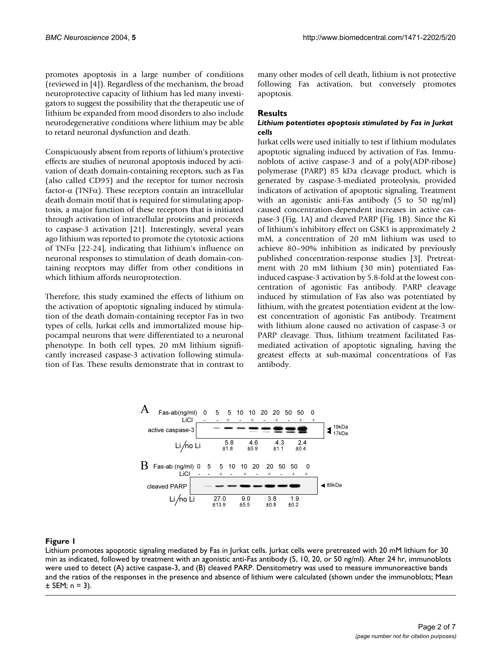promotes apoptosis in a large number of conditions (reviewed in [4]). Regardless of the mechanism, the broad neuroprotective capacity of lithium has led many investigators to suggest the possibility that the therapeutic use of lithium be expanded from mood disorders to also include neurodegenerative conditions where lithium may be able to retard neuronal dysfunction and death.

Conspicuously absent from reports of lithium's protective effects are studies of neuronal apoptosis induced by activation of death domain-containing receptors, such as Fas (also called CD95) and the receptor for tumor necrosis factor-α (TNFα). These receptors contain an intracellular death domain motif that is required for stimulating apoptosis, a major function of these receptors that is initiated through activation of intracellular proteins and proceeds to caspase-3 activation [21]. Interestingly, several years ago lithium was reported to promote the cytotoxic actions of TNFα [22-24], indicating that lithium's influence on neuronal responses to stimulation of death domain-containing receptors may differ from other conditions in which lithium affords neuroprotection.

<span id="page-1-0"></span>Therefore, this study examined the effects of lithium on the activation of apoptotic signaling induced by stimulation of the death domain-containing receptor Fas in two types of cells, Jurkat cells and immortalized mouse hippocampal neurons that were differentiated to a neuronal phenotype. In both cell types, 20 mM lithium significantly increased caspase-3 activation following stimulation of Fas. These results demonstrate that in contrast to many other modes of cell death, lithium is not protective following Fas activation, but conversely promotes apoptosis.

## **Results**

## *Lithium potentiates apoptosis stimulated by Fas in Jurkat cells*

Jurkat cells were used initially to test if lithium modulates apoptotic signaling induced by activation of Fas. Immunoblots of active caspase-3 and of a poly(ADP-ribose) polymerase (PARP) 85 kDa cleavage product, which is generated by caspase-3-mediated proteolysis, provided indicators of activation of apoptotic signaling. Treatment with an agonistic anti-Fas antibody (5 to 50 ng/ml) caused concentration-dependent increases in active caspase-3 (Fig. [1](#page-1-0)A) and cleaved PARP (Fig. [1B](#page-1-0)). Since the Ki of lithium's inhibitory effect on GSK3 is approximately 2 mM, a concentration of 20 mM lithium was used to achieve 80–90% inhibition as indicated by previously published concentration-response studies [3]. Pretreatment with 20 mM lithium (30 min) potentiated Fasinduced caspase-3 activation by 5.8-fold at the lowest concentration of agonistic Fas antibody. PARP cleavage induced by stimulation of Fas also was potentiated by lithium, with the greatest potentiation evident at the lowest concentration of agonistic Fas antibody. Treatment with lithium alone caused no activation of caspase-3 or PARP cleavage. Thus, lithium treatment facilitated Fasmediated activation of apoptotic signaling, having the greatest effects at sub-maximal concentrations of Fas antibody.



## **Figure 1**

Lithium promotes apoptotic signaling mediated by Fas in Jurkat cells. Jurkat cells were pretreated with 20 mM lithium for 30 min as indicated, followed by treatment with an agonistic anti-Fas antibody (5, 10, 20, or 50 ng/ml). After 24 hr, immunoblots were used to detect (A) active caspase-3, and (B) cleaved PARP. Densitometry was used to measure immunoreactive bands and the ratios of the responses in the presence and absence of lithium were calculated (shown under the immunoblots; Mean  $±$  SEM; n = 3).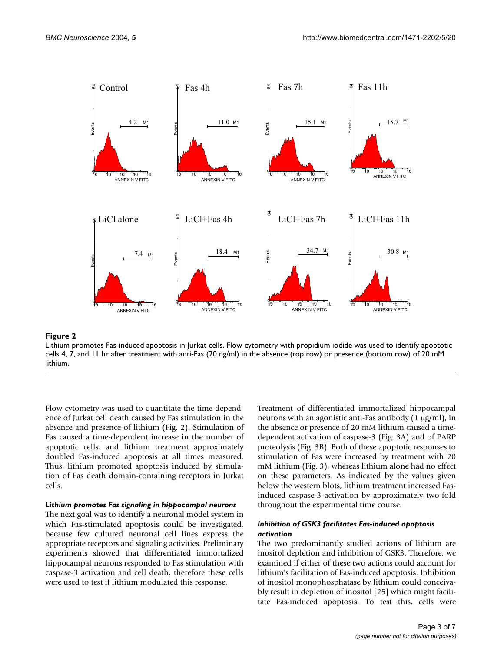

## **Figure 2**

Lithium promotes Fas-induced apoptosis in Jurkat cells. Flow cytometry with propidium iodide was used to identify apoptotic cells 4, 7, and 11 hr after treatment with anti-Fas (20 ng/ml) in the absence (top row) or presence (bottom row) of 20 mM lithium.

Flow cytometry was used to quantitate the time-dependence of Jurkat cell death caused by Fas stimulation in the absence and presence of lithium (Fig. 2). Stimulation of Fas caused a time-dependent increase in the number of apoptotic cells, and lithium treatment approximately doubled Fas-induced apoptosis at all times measured. Thus, lithium promoted apoptosis induced by stimulation of Fas death domain-containing receptors in Jurkat cells.

## *Lithium promotes Fas signaling in hippocampal neurons*

The next goal was to identify a neuronal model system in which Fas-stimulated apoptosis could be investigated, because few cultured neuronal cell lines express the appropriate receptors and signaling activities. Preliminary experiments showed that differentiated immortalized hippocampal neurons responded to Fas stimulation with caspase-3 activation and cell death, therefore these cells were used to test if lithium modulated this response.

Treatment of differentiated immortalized hippocampal neurons with an agonistic anti-Fas antibody (1 µg/ml), in the absence or presence of 20 mM lithium caused a timedependent activation of caspase-3 (Fig. [3](#page-3-0)A) and of PARP proteolysis (Fig. [3B](#page-3-0)). Both of these apoptotic responses to stimulation of Fas were increased by treatment with 20 mM lithium (Fig. [3\)](#page-3-0), whereas lithium alone had no effect on these parameters. As indicated by the values given below the western blots, lithium treatment increased Fasinduced caspase-3 activation by approximately two-fold throughout the experimental time course.

## *Inhibition of GSK3 facilitates Fas-induced apoptosis activation*

The two predominantly studied actions of lithium are inositol depletion and inhibition of GSK3. Therefore, we examined if either of these two actions could account for lithium's facilitation of Fas-induced apoptosis. Inhibition of inositol monophosphatase by lithium could conceivably result in depletion of inositol [25] which might facilitate Fas-induced apoptosis. To test this, cells were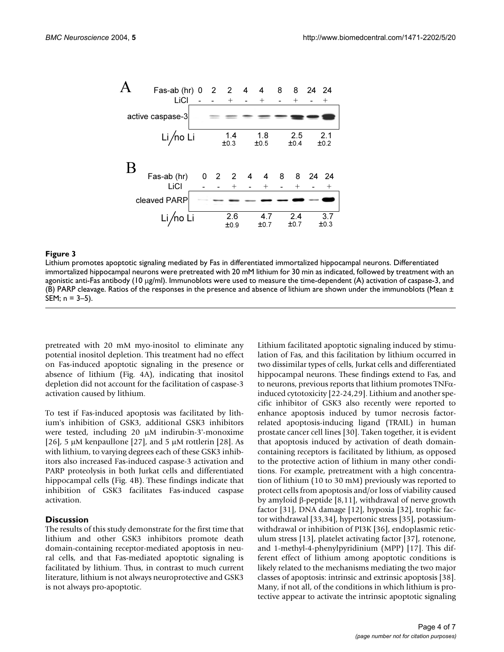<span id="page-3-0"></span>

#### **Figure 3** Lithium promotes apoptotic signaling mediated by Fas in differentiated immortalized hippocampal neurons

Lithium promotes apoptotic signaling mediated by Fas in differentiated immortalized hippocampal neurons. Differentiated immortalized hippocampal neurons were pretreated with 20 mM lithium for 30 min as indicated, followed by treatment with an agonistic anti-Fas antibody (10 µg/ml). Immunoblots were used to measure the time-dependent (A) activation of caspase-3, and (B) PARP cleavage. Ratios of the responses in the presence and absence of lithium are shown under the immunoblots (Mean ± SEM; n = 3–5).

pretreated with 20 mM myo-inositol to eliminate any potential inositol depletion. This treatment had no effect on Fas-induced apoptotic signaling in the presence or absence of lithium (Fig. 4A), indicating that inositol depletion did not account for the facilitation of caspase-3 activation caused by lithium.

To test if Fas-induced apoptosis was facilitated by lithium's inhibition of GSK3, additional GSK3 inhibitors were tested, including 20 µM indirubin-3'-monoxime [26], 5  $\mu$ M kenpaullone [27], and 5  $\mu$ M rottlerin [28]. As with lithium, to varying degrees each of these GSK3 inhibitors also increased Fas-induced caspase-3 activation and PARP proteolysis in both Jurkat cells and differentiated hippocampal cells (Fig. 4B). These findings indicate that inhibition of GSK3 facilitates Fas-induced caspase activation.

#### **Discussion**

The results of this study demonstrate for the first time that lithium and other GSK3 inhibitors promote death domain-containing receptor-mediated apoptosis in neural cells, and that Fas-mediated apoptotic signaling is facilitated by lithium. Thus, in contrast to much current literature, lithium is not always neuroprotective and GSK3 is not always pro-apoptotic.

Lithium facilitated apoptotic signaling induced by stimulation of Fas, and this facilitation by lithium occurred in two dissimilar types of cells, Jurkat cells and differentiated hippocampal neurons. These findings extend to Fas, and to neurons, previous reports that lithium promotes TNFαinduced cytotoxicity [22-24,29]. Lithium and another specific inhibitor of GSK3 also recently were reported to enhance apoptosis induced by tumor necrosis factorrelated apoptosis-inducing ligand (TRAIL) in human prostate cancer cell lines [30]. Taken together, it is evident that apoptosis induced by activation of death domaincontaining receptors is facilitated by lithium, as opposed to the protective action of lithium in many other conditions. For example, pretreatment with a high concentration of lithium (10 to 30 mM) previously was reported to protect cells from apoptosis and/or loss of viability caused by amyloid β-peptide [8,11], withdrawal of nerve growth factor [31], DNA damage [12], hypoxia [32], trophic factor withdrawal [33,34], hypertonic stress [35], potassiumwithdrawal or inhibition of PI3K [36], endoplasmic reticulum stress [13], platelet activating factor [37], rotenone, and 1-methyl-4-phenylpyridinium (MPP) [17]. This different effect of lithium among apoptotic conditions is likely related to the mechanisms mediating the two major classes of apoptosis: intrinsic and extrinsic apoptosis [38]. Many, if not all, of the conditions in which lithium is protective appear to activate the intrinsic apoptotic signaling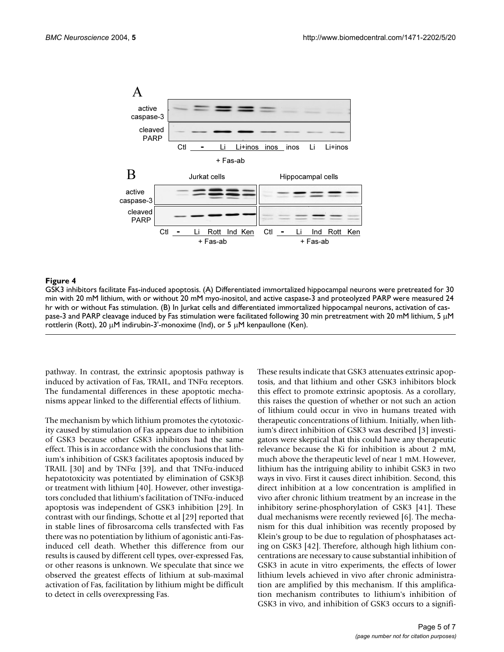

#### Figure 4

GSK3 inhibitors facilitate Fas-induced apoptosis. (A) Differentiated immortalized hippocampal neurons were pretreated for 30 min with 20 mM lithium, with or without 20 mM myo-inositol, and active caspase-3 and proteolyzed PARP were measured 24 hr with or without Fas stimulation. (B) In Jurkat cells and differentiated immortalized hippocampal neurons, activation of caspase-3 and PARP cleavage induced by Fas stimulation were facilitated following 30 min pretreatment with 20 mM lithium, 5 µM rottlerin (Rott), 20 µM indirubin-3'-monoxime (Ind), or 5 µM kenpaullone (Ken).

pathway. In contrast, the extrinsic apoptosis pathway is induced by activation of Fas, TRAIL, and TNFα receptors. The fundamental differences in these apoptotic mechanisms appear linked to the differential effects of lithium.

The mechanism by which lithium promotes the cytotoxicity caused by stimulation of Fas appears due to inhibition of GSK3 because other GSK3 inhibitors had the same effect. This is in accordance with the conclusions that lithium's inhibition of GSK3 facilitates apoptosis induced by TRAIL [30] and by TNF $\alpha$  [39], and that TNF $\alpha$ -induced hepatotoxicity was potentiated by elimination of GSK3β or treatment with lithium [40]. However, other investigators concluded that lithium's facilitation of TNFα-induced apoptosis was independent of GSK3 inhibition [29]. In contrast with our findings, Schotte et al [29] reported that in stable lines of fibrosarcoma cells transfected with Fas there was no potentiation by lithium of agonistic anti-Fasinduced cell death. Whether this difference from our results is caused by different cell types, over-expressed Fas, or other reasons is unknown. We speculate that since we observed the greatest effects of lithium at sub-maximal activation of Fas, facilitation by lithium might be difficult to detect in cells overexpressing Fas.

These results indicate that GSK3 attenuates extrinsic apoptosis, and that lithium and other GSK3 inhibitors block this effect to promote extrinsic apoptosis. As a corollary, this raises the question of whether or not such an action of lithium could occur in vivo in humans treated with therapeutic concentrations of lithium. Initially, when lithium's direct inhibition of GSK3 was described [3] investigators were skeptical that this could have any therapeutic relevance because the Ki for inhibition is about 2 mM, much above the therapeutic level of near 1 mM. However, lithium has the intriguing ability to inhibit GSK3 in two ways in vivo. First it causes direct inhibition. Second, this direct inhibition at a low concentration is amplified in vivo after chronic lithium treatment by an increase in the inhibitory serine-phosphorylation of GSK3 [41]. These dual mechanisms were recently reviewed [6]. The mechanism for this dual inhibition was recently proposed by Klein's group to be due to regulation of phosphatases acting on GSK3 [42]. Therefore, although high lithium concentrations are necessary to cause substantial inhibition of GSK3 in acute in vitro experiments, the effects of lower lithium levels achieved in vivo after chronic administration are amplified by this mechanism. If this amplification mechanism contributes to lithium's inhibition of GSK3 in vivo, and inhibition of GSK3 occurs to a signifi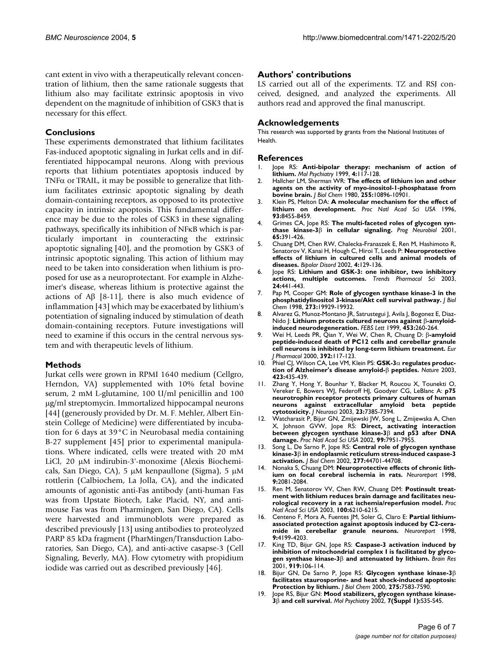cant extent in vivo with a therapeutically relevant concentration of lithium, then the same rationale suggests that lithium also may facilitate extrinsic apoptosis in vivo dependent on the magnitude of inhibition of GSK3 that is necessary for this effect.

#### **Conclusions**

These experiments demonstrated that lithium facilitates Fas-induced apoptotic signaling in Jurkat cells and in differentiated hippocampal neurons. Along with previous reports that lithium potentiates apoptosis induced by TNF $\alpha$  or TRAIL, it may be possible to generalize that lithium facilitates extrinsic apoptotic signaling by death domain-containing receptors, as opposed to its protective capacity in intrinsic apoptosis. This fundamental difference may be due to the roles of GSK3 in these signaling pathways, specifically its inhibition of NFκB which is particularly important in counteracting the extrinsic apoptotic signaling [40], and the promotion by GSK3 of intrinsic apoptotic signaling. This action of lithium may need to be taken into consideration when lithium is proposed for use as a neuroprotectant. For example in Alzheimer's disease, whereas lithium is protective against the actions of  $\text{A}\beta$  [8-11], there is also much evidence of inflammation [43] which may be exacerbated by lithium's potentiation of signaling induced by stimulation of death domain-containing receptors. Future investigations will need to examine if this occurs in the central nervous system and with therapeutic levels of lithium.

#### **Methods**

Jurkat cells were grown in RPMI 1640 medium (Cellgro, Herndon, VA) supplemented with 10% fetal bovine serum, 2 mM L-glutamine, 100 U/ml penicillin and 100 µg/ml streptomycin. Immortalized hippocampal neurons [44] (generously provided by Dr. M. F. Mehler, Albert Einstein College of Medicine) were differentiated by incubation for 6 days at 39°C in Neurobasal media containing B-27 supplement [45] prior to experimental manipulations. Where indicated, cells were treated with 20 mM LiCl, 20 µM indirubin-3'-monoxime (Alexis Biochemicals, San Diego, CA), 5 µM kenpaullone (Sigma), 5 µM rottlerin (Calbiochem, La Jolla, CA), and the indicated amounts of agonistic anti-Fas antibody (anti-human Fas was from Upstate Biotech, Lake Placid, NY, and antimouse Fas was from Pharmingen, San Diego, CA). Cells were harvested and immunoblots were prepared as described previously [13] using antibodies to proteolyzed PARP 85 kDa fragment (PharMingen/Transduction Laboratories, San Diego, CA), and anti-active casapse-3 (Cell Signaling, Beverly, MA). Flow cytometry with propidium iodide was carried out as described previously [46].

#### **Authors' contributions**

LS carried out all of the experiments. TZ and RSJ conceived, designed, and analyzed the experiments. All authors read and approved the final manuscript.

#### **Acknowledgements**

This research was supported by grants from the National Institutes of Health.

#### **References**

- 1. Jope RS: **[Anti-bipolar therapy: mechanism of action of](http://www.ncbi.nlm.nih.gov/entrez/query.fcgi?cmd=Retrieve&db=PubMed&dopt=Abstract&list_uids=10.1038/sj.mp.4000494) [lithium](http://www.ncbi.nlm.nih.gov/entrez/query.fcgi?cmd=Retrieve&db=PubMed&dopt=Abstract&list_uids=10.1038/sj.mp.4000494)[.](http://www.ncbi.nlm.nih.gov/entrez/query.fcgi?cmd=Retrieve&db=PubMed&dopt=Abstract&list_uids=10208444)** *Mol Psychiatry* 1999, **4:**117-128.
- 2. Hallcher LM, Sherman WR: **[The effects of lithium ion and other](http://www.ncbi.nlm.nih.gov/entrez/query.fcgi?cmd=Retrieve&db=PubMed&dopt=Abstract&list_uids=6253491) [agents on the activity of myo-inositol-1-phosphatase from](http://www.ncbi.nlm.nih.gov/entrez/query.fcgi?cmd=Retrieve&db=PubMed&dopt=Abstract&list_uids=6253491) [bovine brain.](http://www.ncbi.nlm.nih.gov/entrez/query.fcgi?cmd=Retrieve&db=PubMed&dopt=Abstract&list_uids=6253491)** *J Biol Chem* 1980, **255:**10896-10901.
- 3. Klein PS, Melton DA: **[A molecular mechanism for the effect of](http://www.ncbi.nlm.nih.gov/entrez/query.fcgi?cmd=Retrieve&db=PubMed&dopt=Abstract&list_uids=10.1073/pnas.93.16.8455) [lithium on development](http://www.ncbi.nlm.nih.gov/entrez/query.fcgi?cmd=Retrieve&db=PubMed&dopt=Abstract&list_uids=10.1073/pnas.93.16.8455)[.](http://www.ncbi.nlm.nih.gov/entrez/query.fcgi?cmd=Retrieve&db=PubMed&dopt=Abstract&list_uids=8710892)** *Proc Natl Acad Sci USA* 1996, **93:**8455-8459.
- 4. Grimes CA, Jope RS: **The multi-faceted roles of glycogen synthase kinase-3**β **[in cellular signaling](http://www.ncbi.nlm.nih.gov/entrez/query.fcgi?cmd=Retrieve&db=PubMed&dopt=Abstract&list_uids=10.1016/S0301-0082(01)00011-9)[.](http://www.ncbi.nlm.nih.gov/entrez/query.fcgi?cmd=Retrieve&db=PubMed&dopt=Abstract&list_uids=11527574)** *Prog Neurobiol* 2001, **65:**391-426.
- 5. Chuang DM, Chen RW, Chalecka-Franaszek E, Ren M, Hashimoto R, Senatorov V, Kanai H, Hough C, Hiroi T, Leeds P: **[Neuroprotective](http://www.ncbi.nlm.nih.gov/entrez/query.fcgi?cmd=Retrieve&db=PubMed&dopt=Abstract&list_uids=10.1034/j.1399-5618.2002.01179.x) [effects of lithium in cultured cells and animal models of](http://www.ncbi.nlm.nih.gov/entrez/query.fcgi?cmd=Retrieve&db=PubMed&dopt=Abstract&list_uids=10.1034/j.1399-5618.2002.01179.x) [diseases](http://www.ncbi.nlm.nih.gov/entrez/query.fcgi?cmd=Retrieve&db=PubMed&dopt=Abstract&list_uids=10.1034/j.1399-5618.2002.01179.x)[.](http://www.ncbi.nlm.nih.gov/entrez/query.fcgi?cmd=Retrieve&db=PubMed&dopt=Abstract&list_uids=12071510)** *Bipolar Disord* 2002, **4:**129-136.
- 6. Jope RS: **[Lithium and GSK-3: one inhibitor, two inhibitory](http://www.ncbi.nlm.nih.gov/entrez/query.fcgi?cmd=Retrieve&db=PubMed&dopt=Abstract&list_uids=10.1016/S0165-6147(03)00206-2) [actions, multiple outcomes](http://www.ncbi.nlm.nih.gov/entrez/query.fcgi?cmd=Retrieve&db=PubMed&dopt=Abstract&list_uids=10.1016/S0165-6147(03)00206-2)[.](http://www.ncbi.nlm.nih.gov/entrez/query.fcgi?cmd=Retrieve&db=PubMed&dopt=Abstract&list_uids=12967765)** *Trends Pharmacol Sci* 2003, **24:**441-443.
- 7. Pap M, Cooper GM: **[Role of glycogen synthase kinase-3 in the](http://www.ncbi.nlm.nih.gov/entrez/query.fcgi?cmd=Retrieve&db=PubMed&dopt=Abstract&list_uids=10.1074/jbc.273.32.19929) [phosphatidylinositol 3-kinase/Akt cell survival pathway](http://www.ncbi.nlm.nih.gov/entrez/query.fcgi?cmd=Retrieve&db=PubMed&dopt=Abstract&list_uids=10.1074/jbc.273.32.19929)[.](http://www.ncbi.nlm.nih.gov/entrez/query.fcgi?cmd=Retrieve&db=PubMed&dopt=Abstract&list_uids=9685326)** *J Biol Chem* 1998, **273:**19929-19932.
- 8. Alvarez G, Munoz-Montano JR, Satrustegui J, Avila J, Bogonez E, Diaz-Nido J: **Lithium protects cultured neurons against** β**[-amyloid](http://www.ncbi.nlm.nih.gov/entrez/query.fcgi?cmd=Retrieve&db=PubMed&dopt=Abstract&list_uids=10.1016/S0014-5793(99)00685-7)[induced neurodegeneration](http://www.ncbi.nlm.nih.gov/entrez/query.fcgi?cmd=Retrieve&db=PubMed&dopt=Abstract&list_uids=10.1016/S0014-5793(99)00685-7)[.](http://www.ncbi.nlm.nih.gov/entrez/query.fcgi?cmd=Retrieve&db=PubMed&dopt=Abstract&list_uids=10405156)** *FEBS Lett* 1999, **453:**260-264.
- 9. Wei H, Leeds PR, Qian Y, Wei W, Chen R, Chuang D: β**[-amyloid](http://www.ncbi.nlm.nih.gov/entrez/query.fcgi?cmd=Retrieve&db=PubMed&dopt=Abstract&list_uids=10.1016/S0014-2999(00)00127-8) [peptide-induced death of PC12 cells and cerebellar granule](http://www.ncbi.nlm.nih.gov/entrez/query.fcgi?cmd=Retrieve&db=PubMed&dopt=Abstract&list_uids=10.1016/S0014-2999(00)00127-8) [cell neurons is inhibited by long-term lithium treatment](http://www.ncbi.nlm.nih.gov/entrez/query.fcgi?cmd=Retrieve&db=PubMed&dopt=Abstract&list_uids=10.1016/S0014-2999(00)00127-8)[.](http://www.ncbi.nlm.nih.gov/entrez/query.fcgi?cmd=Retrieve&db=PubMed&dopt=Abstract&list_uids=10762662)** *Eur J Pharmacol* 2000, **392:**117-123.
- 10. Phiel CJ, Wilson CA, Lee VM, Klein PS: **GSK-3**α **regulates production of Alzheimer's disease amyloid-**β **[peptides](http://www.ncbi.nlm.nih.gov/entrez/query.fcgi?cmd=Retrieve&db=PubMed&dopt=Abstract&list_uids=10.1038/nature01640)[.](http://www.ncbi.nlm.nih.gov/entrez/query.fcgi?cmd=Retrieve&db=PubMed&dopt=Abstract&list_uids=12761548)** *Nature* 2003, **423:**435-439.
- 11. Zhang Y, Hong Y, Bounhar Y, Blacker M, Roucou X, Tounekti O, Vereker E, Bowers WJ, Federoff HJ, Goodyer CG, LeBlanc A: **[p75](http://www.ncbi.nlm.nih.gov/entrez/query.fcgi?cmd=Retrieve&db=PubMed&dopt=Abstract&list_uids=12917374) [neurotrophin receptor protects primary cultures of human](http://www.ncbi.nlm.nih.gov/entrez/query.fcgi?cmd=Retrieve&db=PubMed&dopt=Abstract&list_uids=12917374) neurons against extracellular amyloid beta peptide [cytotoxicity.](http://www.ncbi.nlm.nih.gov/entrez/query.fcgi?cmd=Retrieve&db=PubMed&dopt=Abstract&list_uids=12917374)** *J Neurosci* 2003, **23:**7385-7394.
- 12. Watcharasit P, Bijur GN, Zmijewski JW, Song L, Zmijewska A, Chen X, Johnson GVW, Jope RS: **Direct, activating interaction between glycogen synthase kinase-3**β **[and p53 after DNA](http://www.ncbi.nlm.nih.gov/entrez/query.fcgi?cmd=Retrieve&db=PubMed&dopt=Abstract&list_uids=10.1073/pnas.122062299) [damage](http://www.ncbi.nlm.nih.gov/entrez/query.fcgi?cmd=Retrieve&db=PubMed&dopt=Abstract&list_uids=10.1073/pnas.122062299)[.](http://www.ncbi.nlm.nih.gov/entrez/query.fcgi?cmd=Retrieve&db=PubMed&dopt=Abstract&list_uids=12048243)** *Proc Natl Acad Sci USA* 2002, **99:**7951-7955.
- 13. Song L, De Sarno P, Jope RS: **Central role of glycogen synthase kinase-3**β **[in endoplasmic reticulum stress-induced caspase-3](http://www.ncbi.nlm.nih.gov/entrez/query.fcgi?cmd=Retrieve&db=PubMed&dopt=Abstract&list_uids=10.1074/jbc.M206047200) [activation](http://www.ncbi.nlm.nih.gov/entrez/query.fcgi?cmd=Retrieve&db=PubMed&dopt=Abstract&list_uids=10.1074/jbc.M206047200)[.](http://www.ncbi.nlm.nih.gov/entrez/query.fcgi?cmd=Retrieve&db=PubMed&dopt=Abstract&list_uids=12228224)** *J Biol Chem* 2002, **277:**44701-44708.
- 14. Nonaka S, Chuang DM: **[Neuroprotective effects of chronic lith](http://www.ncbi.nlm.nih.gov/entrez/query.fcgi?cmd=Retrieve&db=PubMed&dopt=Abstract&list_uids=9674597)[ium on focal cerebral ischemia in rats.](http://www.ncbi.nlm.nih.gov/entrez/query.fcgi?cmd=Retrieve&db=PubMed&dopt=Abstract&list_uids=9674597)** *Neuroreport* 1998, **9:**2081-2084.
- 15. Ren M, Senatorov VV, Chen RW, Chuang DM: **[Postinsult treat](http://www.ncbi.nlm.nih.gov/entrez/query.fcgi?cmd=Retrieve&db=PubMed&dopt=Abstract&list_uids=10.1073/pnas.0937423100)[ment with lithium reduces brain damage and facilitates neu](http://www.ncbi.nlm.nih.gov/entrez/query.fcgi?cmd=Retrieve&db=PubMed&dopt=Abstract&list_uids=10.1073/pnas.0937423100)[rological recovery in a rat ischemia/reperfusion model](http://www.ncbi.nlm.nih.gov/entrez/query.fcgi?cmd=Retrieve&db=PubMed&dopt=Abstract&list_uids=10.1073/pnas.0937423100)[.](http://www.ncbi.nlm.nih.gov/entrez/query.fcgi?cmd=Retrieve&db=PubMed&dopt=Abstract&list_uids=12732732)** *Proc Natl Acad Sci USA* 2003, **100:**6210-6215.
- 16. Centeno F, Mora A, Fuentes JM, Soler G, Claro E: **[Partial lithium](http://www.ncbi.nlm.nih.gov/entrez/query.fcgi?cmd=Retrieve&db=PubMed&dopt=Abstract&list_uids=9926873)[associated protection against apoptosis induced by C2-cera](http://www.ncbi.nlm.nih.gov/entrez/query.fcgi?cmd=Retrieve&db=PubMed&dopt=Abstract&list_uids=9926873)[mide in cerebellar granule neurons.](http://www.ncbi.nlm.nih.gov/entrez/query.fcgi?cmd=Retrieve&db=PubMed&dopt=Abstract&list_uids=9926873)** *Neuroreport* 1998, **9:**4199-4203.
- 17. King TD, Bijur GN, Jope RS: **Caspase-3 activation induced by inhibition of mitochondrial complex I is facilitated by glycogen synthase kinase-3**β **[and attenuated by lithium](http://www.ncbi.nlm.nih.gov/entrez/query.fcgi?cmd=Retrieve&db=PubMed&dopt=Abstract&list_uids=10.1016/S0006-8993(01)03005-0)[.](http://www.ncbi.nlm.nih.gov/entrez/query.fcgi?cmd=Retrieve&db=PubMed&dopt=Abstract&list_uids=11689167)** *Brain Res* 2001, **919:**106-114.
- 18. Bijur GN, De Sarno P, Jope RS: **Glycogen synthase kinase-3**β **[facilitates staurosporine- and heat shock-induced apoptosis:](http://www.ncbi.nlm.nih.gov/entrez/query.fcgi?cmd=Retrieve&db=PubMed&dopt=Abstract&list_uids=10.1074/jbc.275.11.7583) [Protection by lithium](http://www.ncbi.nlm.nih.gov/entrez/query.fcgi?cmd=Retrieve&db=PubMed&dopt=Abstract&list_uids=10.1074/jbc.275.11.7583)[.](http://www.ncbi.nlm.nih.gov/entrez/query.fcgi?cmd=Retrieve&db=PubMed&dopt=Abstract&list_uids=10713065)** *J Biol Chem* 2000, **275:**7583-7590.
- 19. Jope RS, Bijur GN: **Mood stabilizers, glycogen synthase kinase-3**β **[and cell survival](http://www.ncbi.nlm.nih.gov/entrez/query.fcgi?cmd=Retrieve&db=PubMed&dopt=Abstract&list_uids=10.1038/sj.mp.4001017)[.](http://www.ncbi.nlm.nih.gov/entrez/query.fcgi?cmd=Retrieve&db=PubMed&dopt=Abstract&list_uids=11986994)** *Mol Psychiatry* 2002, **7(Suppl 1):**S35-S45.